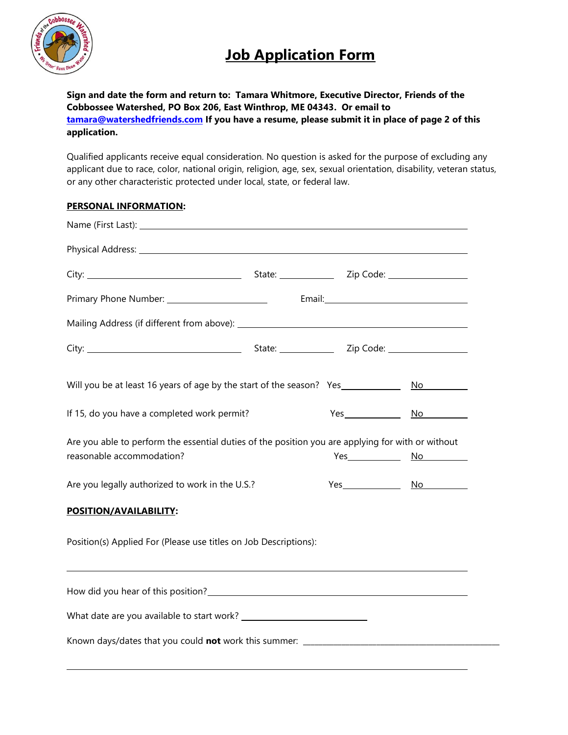

## **Job Application Form**

**Sign and date the form and return to: Tamara Whitmore, Executive Director, Friends of the Cobbossee Watershed, PO Box 206, East Winthrop, ME 04343. Or email to [tamara@watershedfriends.com](mailto:tamara@watershedfriends.com) If you have a resume, please submit it in place of page 2 of this application.** 

Qualified applicants receive equal consideration. No question is asked for the purpose of excluding any applicant due to race, color, national origin, religion, age, sex, sexual orientation, disability, veteran status, or any other characteristic protected under local, state, or federal law.

## **PERSONAL INFORMATION:**

| If 15, do you have a completed work permit?                                                                                    |  |  |  |  |
|--------------------------------------------------------------------------------------------------------------------------------|--|--|--|--|
| Are you able to perform the essential duties of the position you are applying for with or without<br>reasonable accommodation? |  |  |  |  |
| Are you legally authorized to work in the U.S.?                                                                                |  |  |  |  |
| POSITION/AVAILABILITY:                                                                                                         |  |  |  |  |
| Position(s) Applied For (Please use titles on Job Descriptions):                                                               |  |  |  |  |
|                                                                                                                                |  |  |  |  |
|                                                                                                                                |  |  |  |  |
|                                                                                                                                |  |  |  |  |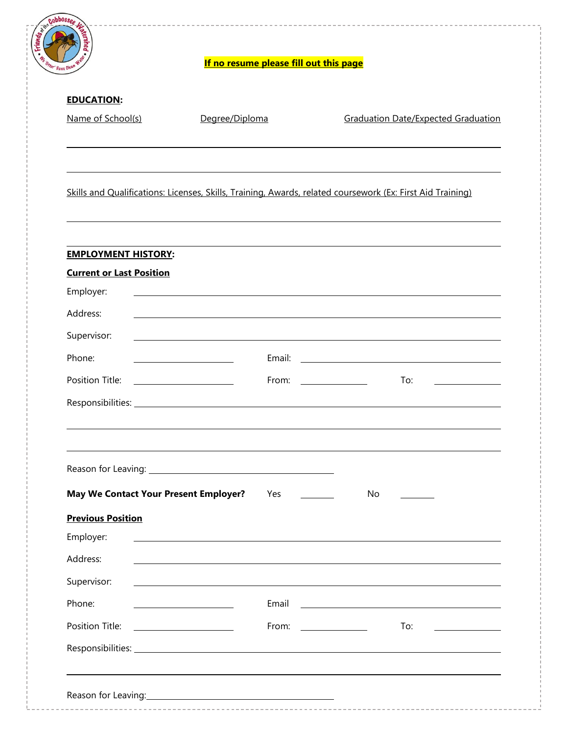| Have Cleat                                   | If no resume please fill out this page                                           |                                                                                                            |  |
|----------------------------------------------|----------------------------------------------------------------------------------|------------------------------------------------------------------------------------------------------------|--|
| <b>EDUCATION:</b>                            |                                                                                  |                                                                                                            |  |
| Name of School(s)                            | Degree/Diploma                                                                   | <b>Graduation Date/Expected Graduation</b>                                                                 |  |
|                                              |                                                                                  | Skills and Qualifications: Licenses, Skills, Training, Awards, related coursework (Ex: First Aid Training) |  |
| <b>EMPLOYMENT HISTORY:</b>                   |                                                                                  |                                                                                                            |  |
| <b>Current or Last Position</b>              |                                                                                  |                                                                                                            |  |
| Employer:                                    |                                                                                  |                                                                                                            |  |
| Address:                                     | ,我们也不会有什么。""我们的人,我们也不会有什么?""我们的人,我们也不会有什么?""我们的人,我们也不会有什么?""我们的人,我们也不会有什么?""我们的人 |                                                                                                            |  |
| Supervisor:                                  | ,我们也不会有什么。""我们的人,我们也不会有什么?""我们的人,我们也不会有什么?""我们的人,我们也不会有什么?""我们的人,我们也不会有什么?""我们的人 |                                                                                                            |  |
| Phone:                                       | <u> 1989 - Johann Barbara, martin a</u>                                          |                                                                                                            |  |
| Position Title:                              | <u> 1999 - Johann Barbara, martin a</u>                                          | To:<br>From: $\frac{1}{\sqrt{1-\frac{1}{2}}\sqrt{1-\frac{1}{2}}\left(1-\frac{1}{2}\right)}$                |  |
|                                              |                                                                                  |                                                                                                            |  |
|                                              |                                                                                  |                                                                                                            |  |
| <b>May We Contact Your Present Employer?</b> | Yes                                                                              | No                                                                                                         |  |
| <b>Previous Position</b>                     |                                                                                  |                                                                                                            |  |
| Employer:                                    |                                                                                  |                                                                                                            |  |
| Address:                                     |                                                                                  |                                                                                                            |  |
| Supervisor:                                  |                                                                                  |                                                                                                            |  |
| Phone:                                       | Email                                                                            |                                                                                                            |  |
| Position Title:                              | From:                                                                            | To:<br><u> 1999 - Jan Barnett, fransk politiker</u>                                                        |  |
|                                              |                                                                                  |                                                                                                            |  |